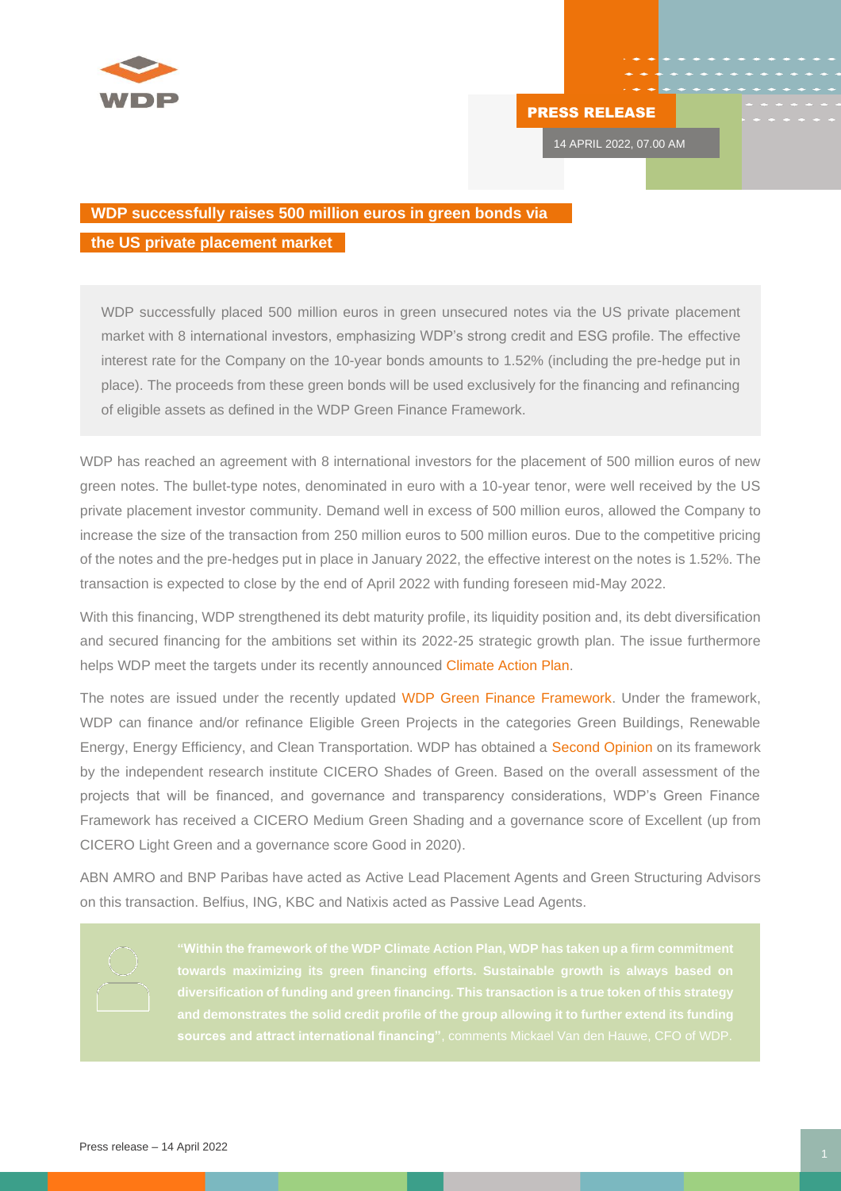

## PRESS RELEASE

14 APRIL 2022, 07.00 AM

## **WDP successfully raises 500 million euros in green bonds via**

## **the US private placement market**

WDP successfully placed 500 million euros in green unsecured notes via the US private placement market with 8 international investors, emphasizing WDP's strong credit and ESG profile. The effective interest rate for the Company on the 10-year bonds amounts to 1.52% (including the pre-hedge put in place). The proceeds from these green bonds will be used exclusively for the financing and refinancing of eligible assets as defined in the WDP Green Finance Framework.

WDP has reached an agreement with 8 international investors for the placement of 500 million euros of new green notes. The bullet-type notes, denominated in euro with a 10-year tenor, were well received by the US private placement investor community. Demand well in excess of 500 million euros, allowed the Company to increase the size of the transaction from 250 million euros to 500 million euros. Due to the competitive pricing of the notes and the pre-hedges put in place in January 2022, the effective interest on the notes is 1.52%. The transaction is expected to close by the end of April 2022 with funding foreseen mid-May 2022.

With this financing, WDP strengthened its debt maturity profile, its liquidity position and, its debt diversification and secured financing for the ambitions set within its 2022-25 strategic growth plan. The issue furthermore helps WDP meet the targets under its recently announced [Climate Action Plan.](https://issuu.com/wdp_warehouses/docs/22_01_26_wdp_climate_action_plan?fr=sYThlNTQxNzU0ODA)

The notes are issued under the recently updated [WDP Green Finance Framework.](https://issuu.com/wdp_warehouses/docs/green-financing-framework_april_2022?fr=sN2VmNDQ4NjAyMDk) Under the framework, WDP can finance and/or refinance Eligible Green Projects in the categories Green Buildings, Renewable Energy, Energy Efficiency, and Clean Transportation. WDP has obtained a [Second Opinion](https://issuu.com/wdp_warehouses/docs/final_wdp_second_opinion_28march2022?fr=sYTY1ODQ4NjAyMDk) on its framework by the independent research institute CICERO Shades of Green. Based on the overall assessment of the projects that will be financed, and governance and transparency considerations, WDP's Green Finance Framework has received a CICERO Medium Green Shading and a governance score of Excellent (up from CICERO Light Green and a governance score Good in 2020).

ABN AMRO and BNP Paribas have acted as Active Lead Placement Agents and Green Structuring Advisors on this transaction. Belfius, ING, KBC and Natixis acted as Passive Lead Agents.